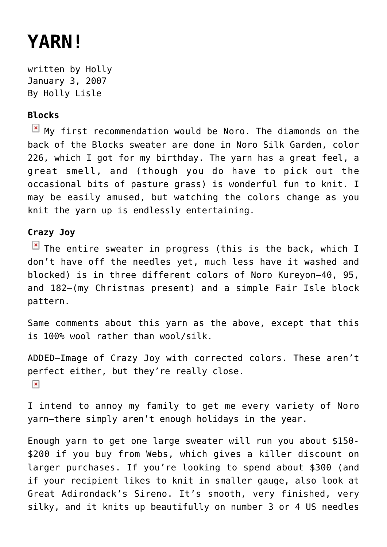## **[YARN!](https://hollylisle.com/yarn/)**

written by Holly January 3, 2007 [By Holly Lisle](https://hollylisle.com)

## **Blocks**

 $\boxed{\times}$  My first recommendation would be [Noro.](http://yarn.com/webs/0/0/0/0-1001-1294-1323/0/25/) The diamonds on the back of the Blocks sweater are done in [Noro Silk Garden](http://yarn.com/webs/0/0/0/0-1001-1294-1323/0/0/1227/), color 226, which I got for my birthday. The yarn has a great feel, a great smell, and (though you do have to pick out the occasional bits of pasture grass) is wonderful fun to knit. I may be easily amused, but watching the colors change as you knit the yarn up is endlessly entertaining.

## **Crazy Joy**

 $\boxed{\times}$  The entire sweater in progress (this is the back, which I don't have off the needles yet, much less have it washed and blocked) is in three different colors of [Noro Kureyon](http://yarn.com/webs/0/0/0/0-1001-1294-1323/0/0/1229/)—40, 95, and 182—(my Christmas present) and a simple Fair Isle block pattern.

Same comments about this yarn as the above, except that this is 100% wool rather than wool/silk.

ADDED—Image of Crazy Joy with corrected colors. These aren't perfect either, but they're really close.  $\pmb{\times}$ 

I intend to annoy my family to get me every variety of Noro yarn—there simply aren't enough holidays in the year.

Enough yarn to get one large sweater will run you about \$150- \$200 if you buy from Webs, which gives a killer discount on larger purchases. If you're looking to spend about \$300 (and if your recipient likes to knit in smaller gauge, also look at [Great Adirondack's Sireno.](http://yarn.com/webs/0/0/0/0-1001-1294-1323/0/0/2819/) It's smooth, very finished, very silky, and it knits up beautifully on number 3 or 4 US needles